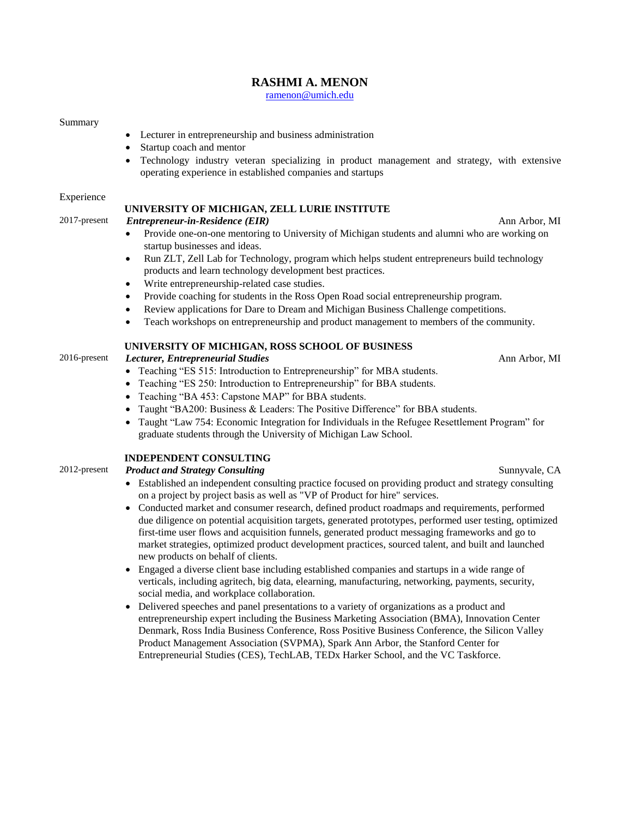# **RASHMI A. MENON**

[ramenon@umich.edu](mailto:ramenon@umich.edu)

#### Summary

- Lecturer in entrepreneurship and business administration
- Startup coach and mentor
- Technology industry veteran specializing in product management and strategy, with extensive operating experience in established companies and startups

#### Experience

### **UNIVERSITY OF MICHIGAN, ZELL LURIE INSTITUTE**

2017-present *Entrepreneur-in-Residence (EIR)* Ann Arbor, MI

- Provide one-on-one mentoring to University of Michigan students and alumni who are working on startup businesses and ideas.
- Run ZLT, Zell Lab for Technology, program which helps student entrepreneurs build technology products and learn technology development best practices.
- Write entrepreneurship-related case studies.
- Provide coaching for students in the Ross Open Road social entrepreneurship program.
- Review applications for Dare to Dream and Michigan Business Challenge competitions.
- Teach workshops on entrepreneurship and product management to members of the community.

### **UNIVERSITY OF MICHIGAN, ROSS SCHOOL OF BUSINESS**

2016-present *Lecturer, Entrepreneurial Studies* Ann Arbor, MI

- Teaching "ES 515: Introduction to Entrepreneurship" for MBA students.
- Teaching "ES 250: Introduction to Entrepreneurship" for BBA students.
- Teaching "BA 453: Capstone MAP" for BBA students.
- Taught "BA200: Business & Leaders: The Positive Difference" for BBA students.
- Taught "Law 754: Economic Integration for Individuals in the Refugee Resettlement Program" for graduate students through the University of Michigan Law School.

### **INDEPENDENT CONSULTING**

- Established an independent consulting practice focused on providing product and strategy consulting on a project by project basis as well as "VP of Product for hire" services.
- Conducted market and consumer research, defined product roadmaps and requirements, performed due diligence on potential acquisition targets, generated prototypes, performed user testing, optimized first-time user flows and acquisition funnels, generated product messaging frameworks and go to market strategies, optimized product development practices, sourced talent, and built and launched new products on behalf of clients.
- Engaged a diverse client base including established companies and startups in a wide range of verticals, including agritech, big data, elearning, manufacturing, networking, payments, security, social media, and workplace collaboration.
- Delivered speeches and panel presentations to a variety of organizations as a product and entrepreneurship expert including the Business Marketing Association (BMA), Innovation Center Denmark, Ross India Business Conference, Ross Positive Business Conference, the Silicon Valley Product Management Association (SVPMA), Spark Ann Arbor, the Stanford Center for Entrepreneurial Studies (CES), TechLAB, TEDx Harker School, and the VC Taskforce.

2012-present *Product and Strategy Consulting* Sunnyvale, CA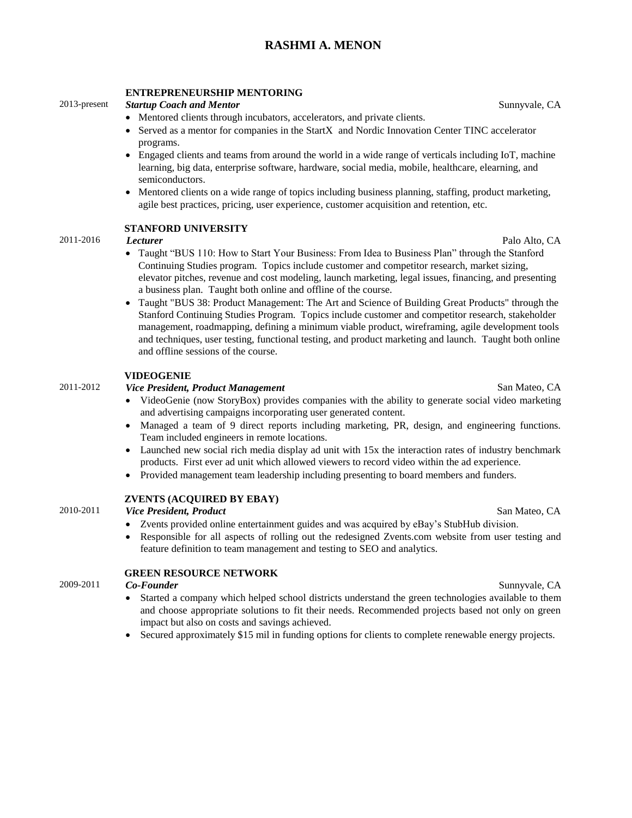# **RASHMI A. MENON**

### **ENTREPRENEURSHIP MENTORING**

### 2013-present *Startup Coach and Mentor* Sunnyvale, CA

- Mentored clients through incubators, accelerators, and private clients.
- Served as a mentor for companies in the StartX and Nordic Innovation Center TINC accelerator programs.
- Engaged clients and teams from around the world in a wide range of verticals including IoT, machine learning, big data, enterprise software, hardware, social media, mobile, healthcare, elearning, and semiconductors.
- Mentored clients on a wide range of topics including business planning, staffing, product marketing, agile best practices, pricing, user experience, customer acquisition and retention, etc.

### **STANFORD UNIVERSITY**

### 2011-2016 *Lecturer* Palo Alto, CA

- Taught "BUS 110: How to Start Your Business: From Idea to Business Plan" through the Stanford Continuing Studies program. Topics include customer and competitor research, market sizing, elevator pitches, revenue and cost modeling, launch marketing, legal issues, financing, and presenting a business plan. Taught both online and offline of the course.
- Taught "BUS 38: Product Management: The Art and Science of Building Great Products" through the Stanford Continuing Studies Program. Topics include customer and competitor research, stakeholder management, roadmapping, defining a minimum viable product, wireframing, agile development tools and techniques, user testing, functional testing, and product marketing and launch. Taught both online and offline sessions of the course.

### **VIDEOGENIE**

# 2011-2012 *Vice President, Product Management* San Mateo, CA

- VideoGenie (now StoryBox) provides companies with the ability to generate social video marketing and advertising campaigns incorporating user generated content.
- Managed a team of 9 direct reports including marketing, PR, design, and engineering functions. Team included engineers in remote locations.
- Launched new social rich media display ad unit with 15x the interaction rates of industry benchmark products. First ever ad unit which allowed viewers to record video within the ad experience.
- Provided management team leadership including presenting to board members and funders.

### **ZVENTS (ACQUIRED BY EBAY)**

2010-2011 *Vice President, Product* San Mateo, CA

- Zvents provided online entertainment guides and was acquired by eBay's StubHub division.
- Responsible for all aspects of rolling out the redesigned Zvents.com website from user testing and feature definition to team management and testing to SEO and analytics.

### **GREEN RESOURCE NETWORK**

### 2009-2011 *Co-Founder* Sunnyvale, CA

- Started a company which helped school districts understand the green technologies available to them and choose appropriate solutions to fit their needs. Recommended projects based not only on green impact but also on costs and savings achieved.
- Secured approximately \$15 mil in funding options for clients to complete renewable energy projects.